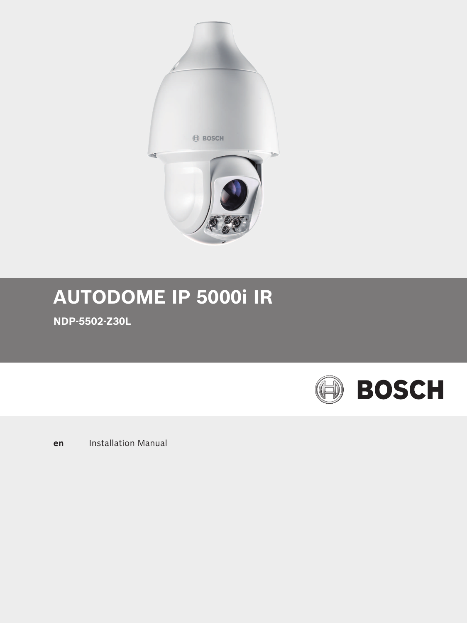

# **AUTODOME IP 5000i IR**

**NDP-5502-Z30L**



**en** Installation Manual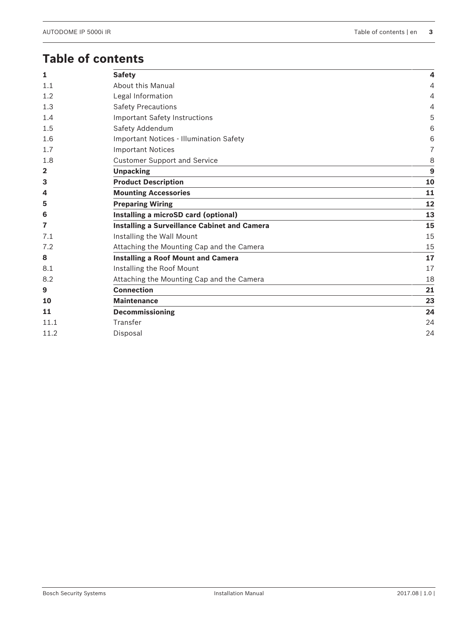## **Table of contents**

| 1              | <b>Safety</b>                                | 4              |
|----------------|----------------------------------------------|----------------|
| 1.1            | About this Manual                            | $\overline{4}$ |
| 1.2            | Legal Information                            | 4              |
| 1.3            | <b>Safety Precautions</b>                    | 4              |
| 1.4            | Important Safety Instructions                | 5              |
| 1.5            | Safety Addendum                              | 6              |
| 1.6            | Important Notices - Illumination Safety      | 6              |
| 1.7            | <b>Important Notices</b>                     | $\overline{7}$ |
| 1.8            | <b>Customer Support and Service</b>          | 8              |
| $\overline{2}$ | <b>Unpacking</b>                             | $\overline{9}$ |
| 3              | <b>Product Description</b>                   | 10             |
| 4              | <b>Mounting Accessories</b>                  | 11             |
| 5              | <b>Preparing Wiring</b>                      | 12             |
| 6              | Installing a microSD card (optional)         | 13             |
| 7              | Installing a Surveillance Cabinet and Camera | 15             |
| 7.1            | Installing the Wall Mount                    | 15             |
| 7.2            | Attaching the Mounting Cap and the Camera    | 15             |
| 8              | <b>Installing a Roof Mount and Camera</b>    | 17             |
| 8.1            | Installing the Roof Mount                    | 17             |
| 8.2            | Attaching the Mounting Cap and the Camera    | 18             |
| 9              | <b>Connection</b>                            | 21             |
| 10             | <b>Maintenance</b>                           | 23             |
| 11             | <b>Decommissioning</b>                       | 24             |
| 11.1           | Transfer                                     | 24             |
| 11.2           | Disposal                                     | 24             |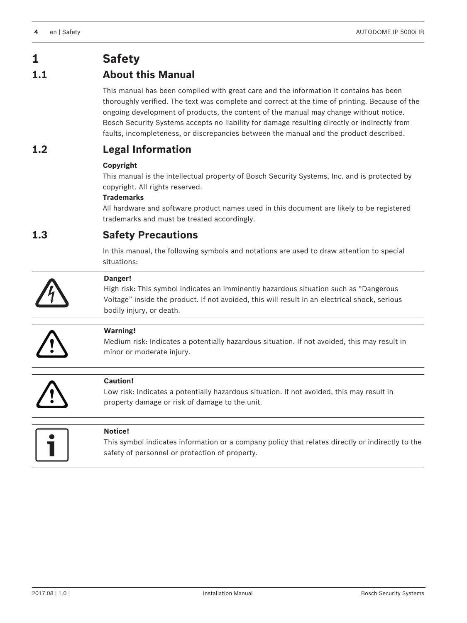## **1 Safety**

## **1.1 About this Manual**

This manual has been compiled with great care and the information it contains has been thoroughly verified. The text was complete and correct at the time of printing. Because of the ongoing development of products, the content of the manual may change without notice. Bosch Security Systems accepts no liability for damage resulting directly or indirectly from faults, incompleteness, or discrepancies between the manual and the product described.

## **1.2 Legal Information**

## **Copyright**

This manual is the intellectual property of Bosch Security Systems, Inc. and is protected by copyright. All rights reserved.

## **Trademarks**

All hardware and software product names used in this document are likely to be registered trademarks and must be treated accordingly.

## **1.3 Safety Precautions**

In this manual, the following symbols and notations are used to draw attention to special situations:



## **Danger!**

High risk: This symbol indicates an imminently hazardous situation such as "Dangerous Voltage" inside the product. If not avoided, this will result in an electrical shock, serious bodily injury, or death.



## **Warning!**

Medium risk: Indicates a potentially hazardous situation. If not avoided, this may result in minor or moderate injury.



## **Caution!**

Low risk: Indicates a potentially hazardous situation. If not avoided, this may result in property damage or risk of damage to the unit.



## **Notice!**

This symbol indicates information or a company policy that relates directly or indirectly to the safety of personnel or protection of property.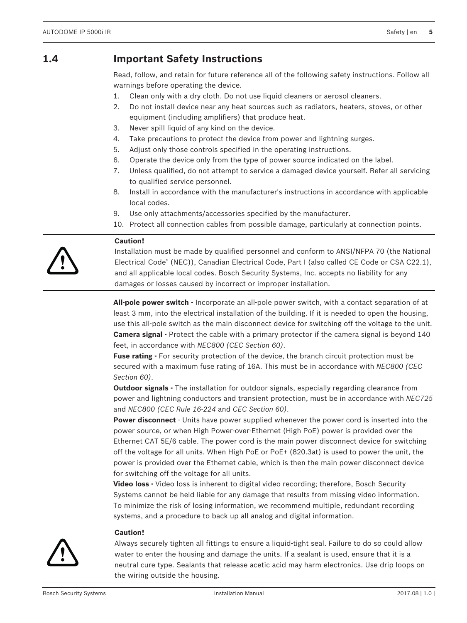## **1.4 Important Safety Instructions**

Read, follow, and retain for future reference all of the following safety instructions. Follow all warnings before operating the device.

- 1. Clean only with a dry cloth. Do not use liquid cleaners or aerosol cleaners.
- 2. Do not install device near any heat sources such as radiators, heaters, stoves, or other equipment (including amplifiers) that produce heat.
- 3. Never spill liquid of any kind on the device.
- 4. Take precautions to protect the device from power and lightning surges.
- 5. Adjust only those controls specified in the operating instructions.
- 6. Operate the device only from the type of power source indicated on the label.
- 7. Unless qualified, do not attempt to service a damaged device yourself. Refer all servicing to qualified service personnel.
- 8. Install in accordance with the manufacturer's instructions in accordance with applicable local codes.
- 9. Use only attachments/accessories specified by the manufacturer.
- 10. Protect all connection cables from possible damage, particularly at connection points.

#### **Caution!**

**!** 

Installation must be made by qualified personnel and conform to ANSI/NFPA 70 (the National Electrical Code® (NEC)), Canadian Electrical Code, Part I (also called CE Code or CSA C22.1), and all applicable local codes. Bosch Security Systems, Inc. accepts no liability for any damages or losses caused by incorrect or improper installation.

**All-pole power switch -** Incorporate an all-pole power switch, with a contact separation of at least 3 mm, into the electrical installation of the building. If it is needed to open the housing, use this all-pole switch as the main disconnect device for switching off the voltage to the unit. **Camera signal -** Protect the cable with a primary protector if the camera signal is beyond 140 feet, in accordance with *NEC800 (CEC Section 60)*.

**Fuse rating -** For security protection of the device, the branch circuit protection must be secured with a maximum fuse rating of 16A. This must be in accordance with *NEC800 (CEC Section 60)*.

**Outdoor signals -** The installation for outdoor signals, especially regarding clearance from power and lightning conductors and transient protection, must be in accordance with *NEC725* and *NEC800 (CEC Rule 16-224* and *CEC Section 60)*.

**Power disconnect** - Units have power supplied whenever the power cord is inserted into the power source, or when High Power-over-Ethernet (High PoE) power is provided over the Ethernet CAT 5E/6 cable. The power cord is the main power disconnect device for switching off the voltage for all units. When High PoE or PoE+ (820.3at) is used to power the unit, the power is provided over the Ethernet cable, which is then the main power disconnect device for switching off the voltage for all units.

**Video loss -** Video loss is inherent to digital video recording; therefore, Bosch Security Systems cannot be held liable for any damage that results from missing video information. To minimize the risk of losing information, we recommend multiple, redundant recording systems, and a procedure to back up all analog and digital information.



#### **Caution!**

Always securely tighten all fittings to ensure a liquid-tight seal. Failure to do so could allow water to enter the housing and damage the units. If a sealant is used, ensure that it is a neutral cure type. Sealants that release acetic acid may harm electronics. Use drip loops on the wiring outside the housing.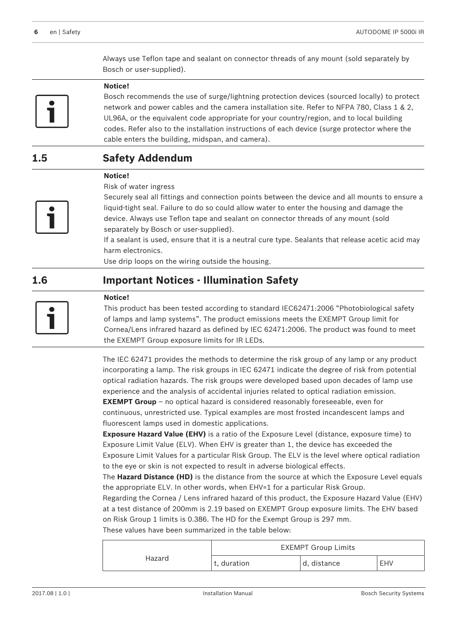Always use Teflon tape and sealant on connector threads of any mount (sold separately by Bosch or user-supplied).



#### **Notice!**

Bosch recommends the use of surge/lightning protection devices (sourced locally) to protect network and power cables and the camera installation site. Refer to NFPA 780, Class 1 & 2, UL96A, or the equivalent code appropriate for your country/region, and to local building codes. Refer also to the installation instructions of each device (surge protector where the cable enters the building, midspan, and camera).

## **1.5 Safety Addendum**

## **Notice!**

Risk of water ingress



Securely seal all fittings and connection points between the device and all mounts to ensure a liquid-tight seal. Failure to do so could allow water to enter the housing and damage the device. Always use Teflon tape and sealant on connector threads of any mount (sold separately by Bosch or user-supplied).

If a sealant is used, ensure that it is a neutral cure type. Sealants that release acetic acid may harm electronics.

Use drip loops on the wiring outside the housing.

## **1.6 Important Notices - Illumination Safety**



**Notice!**

This product has been tested according to standard IEC62471:2006 "Photobiological safety of lamps and lamp systems". The product emissions meets the EXEMPT Group limit for Cornea/Lens infrared hazard as defined by IEC 62471:2006. The product was found to meet the EXEMPT Group exposure limits for IR LEDs.

The IEC 62471 provides the methods to determine the risk group of any lamp or any product incorporating a lamp. The risk groups in IEC 62471 indicate the degree of risk from potential optical radiation hazards. The risk groups were developed based upon decades of lamp use experience and the analysis of accidental injuries related to optical radiation emission.

**EXEMPT Group** – no optical hazard is considered reasonably foreseeable, even for continuous, unrestricted use. Typical examples are most frosted incandescent lamps and fluorescent lamps used in domestic applications.

**Exposure Hazard Value (EHV)** is a ratio of the Exposure Level (distance, exposure time) to Exposure Limit Value (ELV). When EHV is greater than 1, the device has exceeded the Exposure Limit Values for a particular Risk Group. The ELV is the level where optical radiation to the eye or skin is not expected to result in adverse biological effects.

The **Hazard Distance (HD)** is the distance from the source at which the Exposure Level equals the appropriate ELV. In other words, when EHV=1 for a particular Risk Group.

Regarding the Cornea / Lens infrared hazard of this product, the Exposure Hazard Value (EHV) at a test distance of 200mm is 2.19 based on EXEMPT Group exposure limits. The EHV based on Risk Group 1 limits is 0.386. The HD for the Exempt Group is 297 mm.

These values have been summarized in the table below:

|        | <b>EXEMPT Group Limits</b> |             |     |  |
|--------|----------------------------|-------------|-----|--|
| Hazard | t, duration                | d, distance | EHV |  |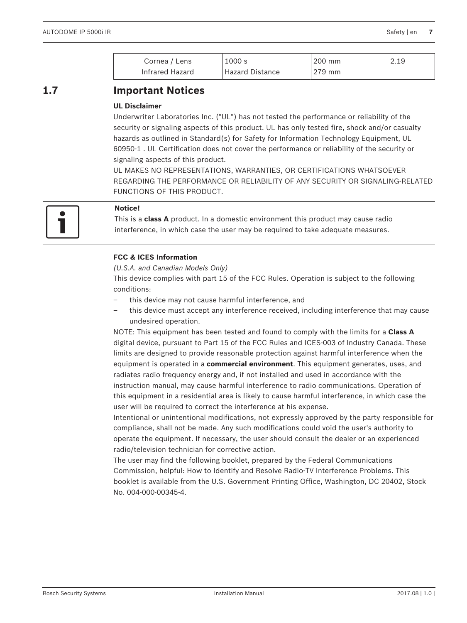| Cornea / Lens   | 1000 s          | 200 mm | 2.19 |
|-----------------|-----------------|--------|------|
| Infrared Hazard | Hazard Distance | 279 mm |      |

## **1.7 Important Notices**

## **UL Disclaimer**

Underwriter Laboratories Inc. ("UL") has not tested the performance or reliability of the security or signaling aspects of this product. UL has only tested fire, shock and/or casualty hazards as outlined in Standard(s) for Safety for Information Technology Equipment, UL 60950-1 . UL Certification does not cover the performance or reliability of the security or signaling aspects of this product.

UL MAKES NO REPRESENTATIONS, WARRANTIES, OR CERTIFICATIONS WHATSOEVER REGARDING THE PERFORMANCE OR RELIABILITY OF ANY SECURITY OR SIGNALING-RELATED FUNCTIONS OF THIS PRODUCT.



## **Notice!**

This is a **class A** product. In a domestic environment this product may cause radio interference, in which case the user may be required to take adequate measures.

## **FCC & ICES Information**

#### *(U.S.A. and Canadian Models Only)*

This device complies with part 15 of the FCC Rules. Operation is subject to the following conditions:

- this device may not cause harmful interference, and
- this device must accept any interference received, including interference that may cause undesired operation.

NOTE: This equipment has been tested and found to comply with the limits for a **Class A** digital device, pursuant to Part 15 of the FCC Rules and ICES-003 of Industry Canada. These limits are designed to provide reasonable protection against harmful interference when the equipment is operated in a **commercial environment**. This equipment generates, uses, and radiates radio frequency energy and, if not installed and used in accordance with the instruction manual, may cause harmful interference to radio communications. Operation of this equipment in a residential area is likely to cause harmful interference, in which case the user will be required to correct the interference at his expense.

Intentional or unintentional modifications, not expressly approved by the party responsible for compliance, shall not be made. Any such modifications could void the user's authority to operate the equipment. If necessary, the user should consult the dealer or an experienced radio/television technician for corrective action.

The user may find the following booklet, prepared by the Federal Communications Commission, helpful: How to Identify and Resolve Radio-TV Interference Problems. This booklet is available from the U.S. Government Printing Office, Washington, DC 20402, Stock No. 004-000-00345-4.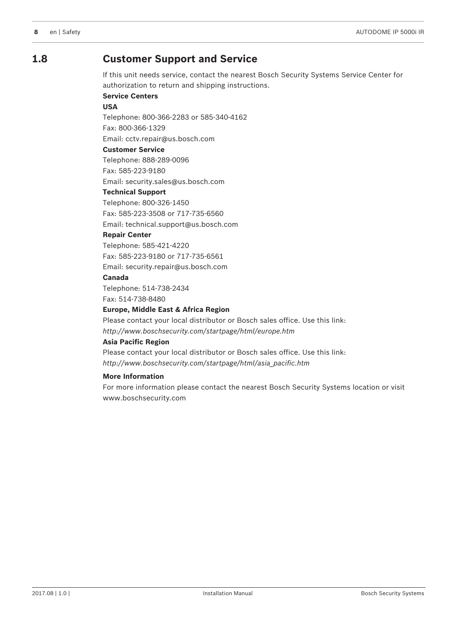## **1.8 Customer Support and Service**

If this unit needs service, contact the nearest Bosch Security Systems Service Center for authorization to return and shipping instructions.

**Service Centers**

#### **USA**

Telephone: 800-366-2283 or 585-340-4162 Fax: 800-366-1329

Email: cctv.repair@us.bosch.com

#### **Customer Service**

Telephone: 888-289-0096 Fax: 585-223-9180

Email: security.sales@us.bosch.com

## **Technical Support**

Telephone: 800-326-1450 Fax: 585-223-3508 or 717-735-6560 Email: technical.support@us.bosch.com

## **Repair Center**

Telephone: 585-421-4220 Fax: 585-223-9180 or 717-735-6561 Email: security.repair@us.bosch.com

#### **Canada**

Telephone: 514-738-2434 Fax: 514-738-8480

#### **Europe, Middle East & Africa Region**

Please contact your local distributor or Bosch sales office. Use this link: *http://www.boschsecurity.com/startpage/html/europe.htm*

#### **Asia Pacific Region**

Please contact your local distributor or Bosch sales office. Use this link: *http://www.boschsecurity.com/startpage/html/asia\_pacific.htm*

#### **More Information**

For more information please contact the nearest Bosch Security Systems location or visit www.boschsecurity.com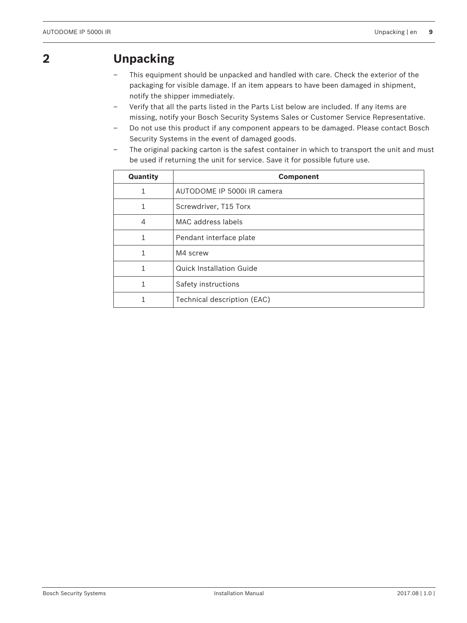## **2 Unpacking**

- This equipment should be unpacked and handled with care. Check the exterior of the packaging for visible damage. If an item appears to have been damaged in shipment, notify the shipper immediately.
- Verify that all the parts listed in the Parts List below are included. If any items are missing, notify your Bosch Security Systems Sales or Customer Service Representative.
- Do not use this product if any component appears to be damaged. Please contact Bosch Security Systems in the event of damaged goods.
- The original packing carton is the safest container in which to transport the unit and must be used if returning the unit for service. Save it for possible future use.

| Quantity       | <b>Component</b>                |  |
|----------------|---------------------------------|--|
| 1              | AUTODOME IP 5000i IR camera     |  |
| 1              | Screwdriver, T15 Torx           |  |
| $\overline{4}$ | MAC address labels              |  |
|                | Pendant interface plate         |  |
|                | M4 screw                        |  |
|                | <b>Quick Installation Guide</b> |  |
| 1              | Safety instructions             |  |
|                | Technical description (EAC)     |  |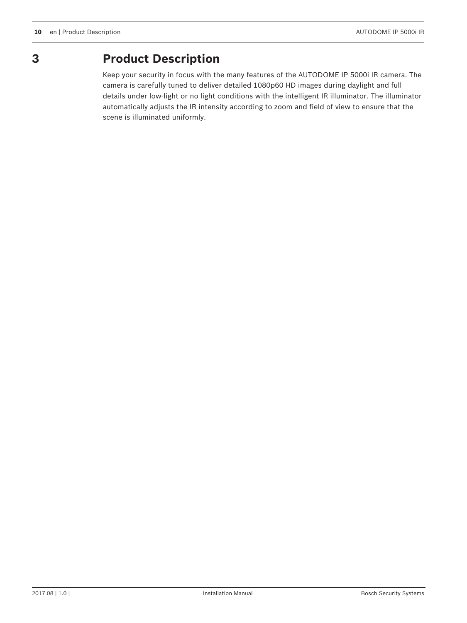

## **3 Product Description**

Keep your security in focus with the many features of the AUTODOME IP 5000i IR camera. The camera is carefully tuned to deliver detailed 1080p60 HD images during daylight and full details under low-light or no light conditions with the intelligent IR illuminator. The illuminator automatically adjusts the IR intensity according to zoom and field of view to ensure that the scene is illuminated uniformly.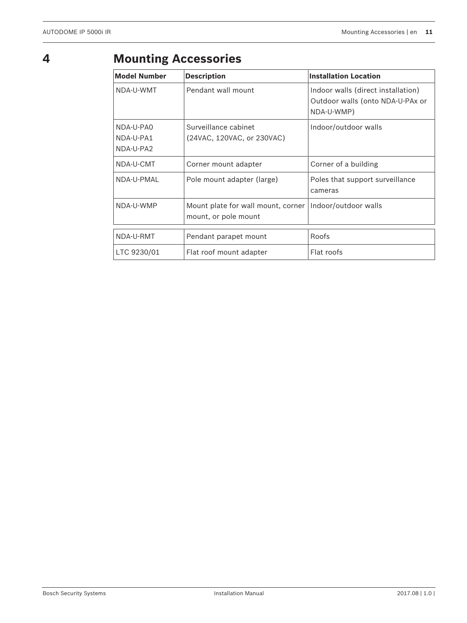## **4 Mounting Accessories**

| <b>Model Number</b>                 | <b>Description</b>                                         | <b>Installation Location</b>                                                         |
|-------------------------------------|------------------------------------------------------------|--------------------------------------------------------------------------------------|
| NDA-U-WMT                           | Pendant wall mount                                         | Indoor walls (direct installation)<br>Outdoor walls (onto NDA-U-PAx or<br>NDA-U-WMP) |
| NDA-U-PAO<br>NDA-U-PA1<br>NDA-U-PA2 | Surveillance cabinet<br>(24VAC, 120VAC, or 230VAC)         | Indoor/outdoor walls                                                                 |
| NDA-U-CMT                           | Corner mount adapter                                       | Corner of a building                                                                 |
| NDA-U-PMAL                          | Pole mount adapter (large)                                 | Poles that support surveillance<br>cameras                                           |
| NDA-U-WMP                           | Mount plate for wall mount, corner<br>mount, or pole mount | Indoor/outdoor walls                                                                 |
| NDA-U-RMT                           | Pendant parapet mount                                      | Roofs                                                                                |
| LTC 9230/01                         | Flat roof mount adapter                                    | Flat roofs                                                                           |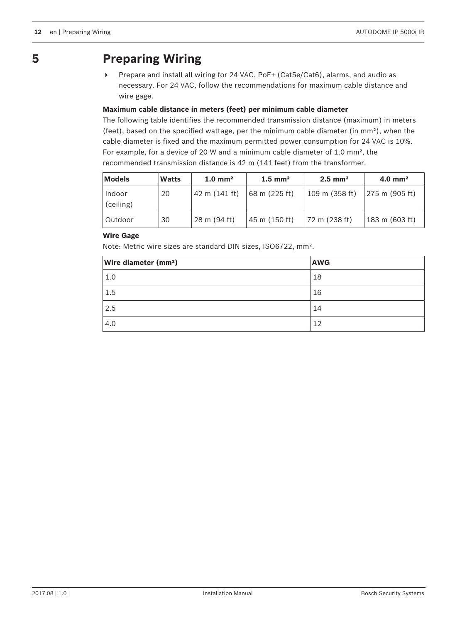## **5 Preparing Wiring**

4 Prepare and install all wiring for 24 VAC, PoE+ (Cat5e/Cat6), alarms, and audio as necessary. For 24 VAC, follow the recommendations for maximum cable distance and wire gage.

## **Maximum cable distance in meters (feet) per minimum cable diameter**

The following table identifies the recommended transmission distance (maximum) in meters (feet), based on the specified wattage, per the minimum cable diameter (in mm²), when the cable diameter is fixed and the maximum permitted power consumption for 24 VAC is 10%. For example, for a device of 20 W and a minimum cable diameter of 1.0 mm², the recommended transmission distance is 42 m (141 feet) from the transformer.

| Models              | <b>Watts</b> | $1.0 \text{ mm}^2$ | $1.5$ mm <sup>2</sup> | $2.5$ mm <sup>2</sup>    | $4.0$ mm <sup>2</sup>             |
|---------------------|--------------|--------------------|-----------------------|--------------------------|-----------------------------------|
| Indoor<br>(ceiling) | 20           | 42 m (141 ft)      | 68 m (225 ft)         | $109 \text{ m}$ (358 ft) | $ 275 \text{ m} (905 \text{ ft})$ |
| Outdoor             | 30           | 28 m (94 ft)       | 45 m (150 ft)         | 72 m (238 ft)            | 183 m (603 ft)                    |

## **Wire Gage**

Note: Metric wire sizes are standard DIN sizes, ISO6722, mm².

| <b>Wire diameter (mm<sup>2</sup>)</b> | <b>AWG</b> |
|---------------------------------------|------------|
| 1.0                                   | 18         |
| 1.5                                   | 16         |
| 2.5                                   | 14         |
| 4.0                                   | 12         |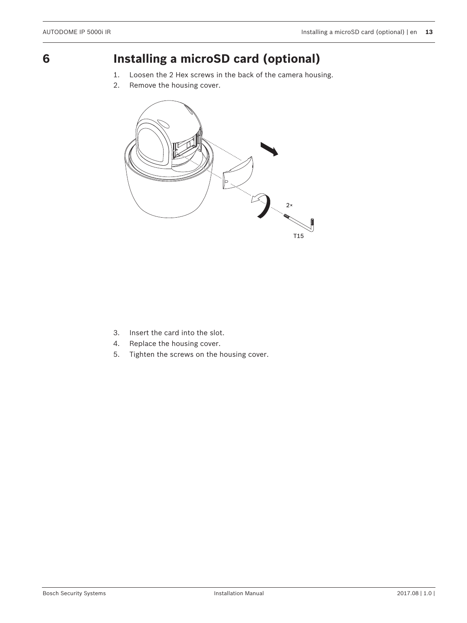## **6 Installing a microSD card (optional)**

- 1. Loosen the 2 Hex screws in the back of the camera housing.
- 2. Remove the housing cover.



- 3. Insert the card into the slot.
- 4. Replace the housing cover.
- 5. Tighten the screws on the housing cover.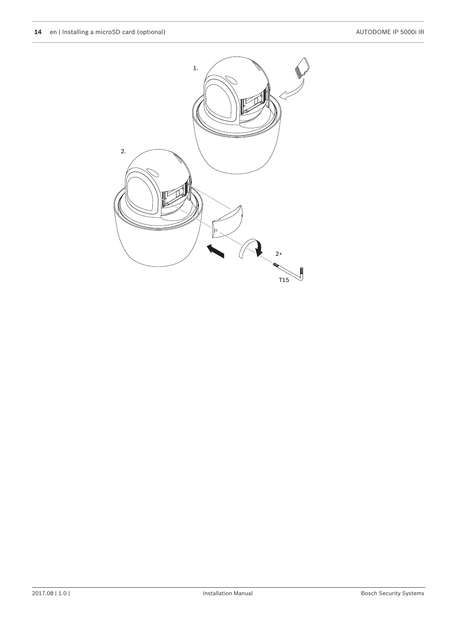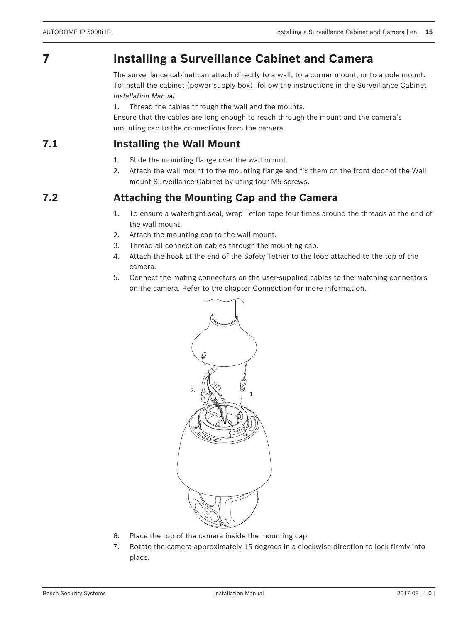## **7 Installing a Surveillance Cabinet and Camera**

The surveillance cabinet can attach directly to a wall, to a corner mount, or to a pole mount. To install the cabinet (power supply box), follow the instructions in the Surveillance Cabinet *Installation Manual*.

1. Thread the cables through the wall and the mounts.

Ensure that the cables are long enough to reach through the mount and the camera's mounting cap to the connections from the camera.

## **7.1 Installing the Wall Mount**

- 1. Slide the mounting flange over the wall mount.
- 2. Attach the wall mount to the mounting flange and fix them on the front door of the Wallmount Surveillance Cabinet by using four M5 screws.

## **7.2 Attaching the Mounting Cap and the Camera**

- 1. To ensure a watertight seal, wrap Teflon tape four times around the threads at the end of the wall mount.
- 2. Attach the mounting cap to the wall mount.
- 3. Thread all connection cables through the mounting cap.
- 4. Attach the hook at the end of the Safety Tether to the loop attached to the top of the camera.
- 5. Connect the mating connectors on the user-supplied cables to the matching connectors on the camera. Refer to the chapter Connection for more information.



- 6. Place the top of the camera inside the mounting cap.
- 7. Rotate the camera approximately 15 degrees in a clockwise direction to lock firmly into place.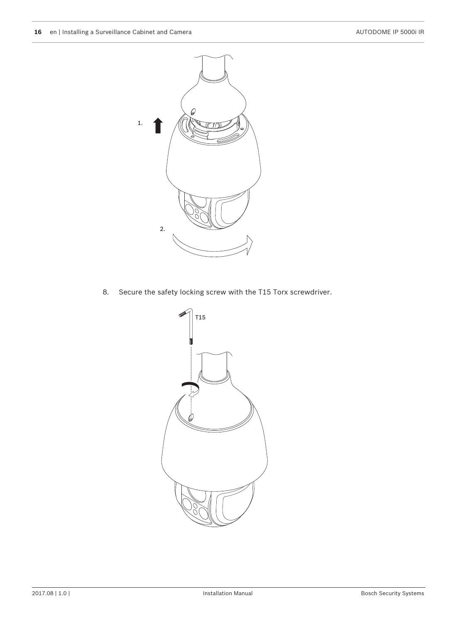

8. Secure the safety locking screw with the T15 Torx screwdriver.

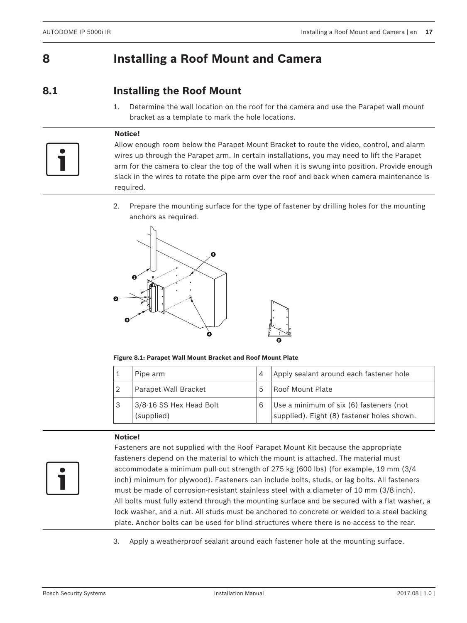## **8 Installing a Roof Mount and Camera**

## **8.1 Installing the Roof Mount**

1. Determine the wall location on the roof for the camera and use the Parapet wall mount bracket as a template to mark the hole locations.

## **Notice!**

Allow enough room below the Parapet Mount Bracket to route the video, control, and alarm wires up through the Parapet arm. In certain installations, you may need to lift the Parapet arm for the camera to clear the top of the wall when it is swung into position. Provide enough slack in the wires to rotate the pipe arm over the roof and back when camera maintenance is required.

2. Prepare the mounting surface for the type of fastener by drilling holes for the mounting anchors as required.



**Figure 8.1: Parapet Wall Mount Bracket and Roof Mount Plate**

|   | Pipe arm                              | 4  | Apply sealant around each fastener hole                                               |
|---|---------------------------------------|----|---------------------------------------------------------------------------------------|
| 2 | Parapet Wall Bracket                  | .5 | Roof Mount Plate                                                                      |
| 3 | 3/8-16 SS Hex Head Bolt<br>(supplied) | 6  | Use a minimum of six (6) fasteners (not<br>supplied). Eight (8) fastener holes shown. |

## **Notice!**



Fasteners are not supplied with the Roof Parapet Mount Kit because the appropriate fasteners depend on the material to which the mount is attached. The material must accommodate a minimum pull-out strength of 275 kg (600 lbs) (for example, 19 mm (3/4 inch) minimum for plywood). Fasteners can include bolts, studs, or lag bolts. All fasteners must be made of corrosion-resistant stainless steel with a diameter of 10 mm (3/8 inch). All bolts must fully extend through the mounting surface and be secured with a flat washer, a lock washer, and a nut. All studs must be anchored to concrete or welded to a steel backing plate. Anchor bolts can be used for blind structures where there is no access to the rear.

3. Apply a weatherproof sealant around each fastener hole at the mounting surface.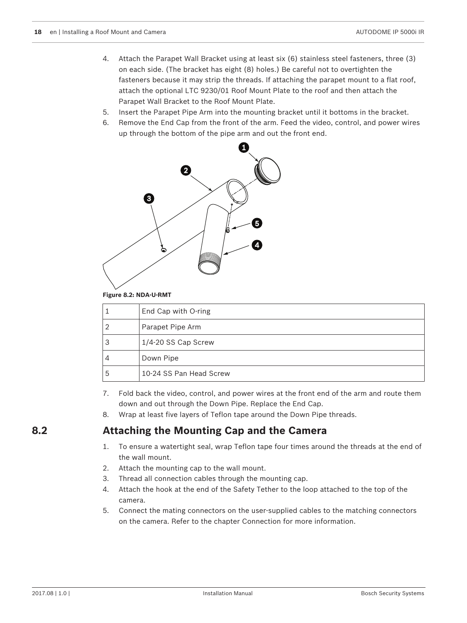- 4. Attach the Parapet Wall Bracket using at least six (6) stainless steel fasteners, three (3) on each side. (The bracket has eight (8) holes.) Be careful not to overtighten the fasteners because it may strip the threads. If attaching the parapet mount to a flat roof, attach the optional LTC 9230/01 Roof Mount Plate to the roof and then attach the Parapet Wall Bracket to the Roof Mount Plate.
- 5. Insert the Parapet Pipe Arm into the mounting bracket until it bottoms in the bracket.
- 6. Remove the End Cap from the front of the arm. Feed the video, control, and power wires up through the bottom of the pipe arm and out the front end.



**Figure 8.2: NDA-U-RMT**

|   | End Cap with O-ring     |
|---|-------------------------|
|   | Parapet Pipe Arm        |
| З | 1/4-20 SS Cap Screw     |
| 4 | Down Pipe               |
| 5 | 10-24 SS Pan Head Screw |

- 7. Fold back the video, control, and power wires at the front end of the arm and route them down and out through the Down Pipe. Replace the End Cap.
- 8. Wrap at least five layers of Teflon tape around the Down Pipe threads.

## **8.2 Attaching the Mounting Cap and the Camera**

- 1. To ensure a watertight seal, wrap Teflon tape four times around the threads at the end of the wall mount.
- 2. Attach the mounting cap to the wall mount.
- 3. Thread all connection cables through the mounting cap.
- 4. Attach the hook at the end of the Safety Tether to the loop attached to the top of the camera.
- 5. Connect the mating connectors on the user-supplied cables to the matching connectors on the camera. Refer to the chapter Connection for more information.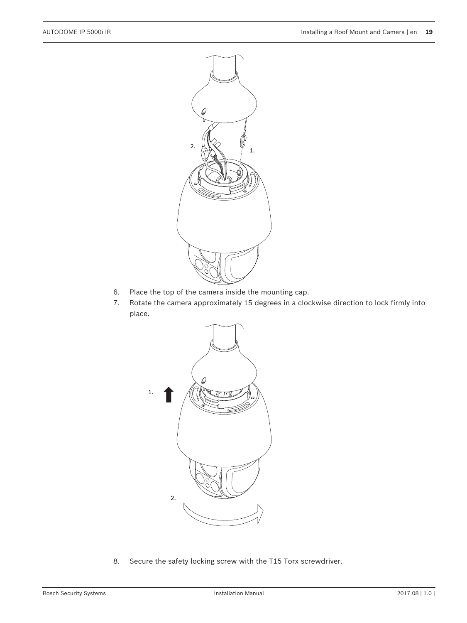

- 6. Place the top of the camera inside the mounting cap.
- 7. Rotate the camera approximately 15 degrees in a clockwise direction to lock firmly into place.



8. Secure the safety locking screw with the T15 Torx screwdriver.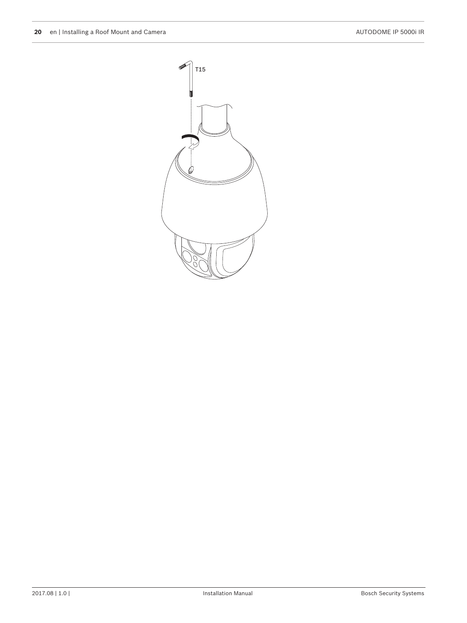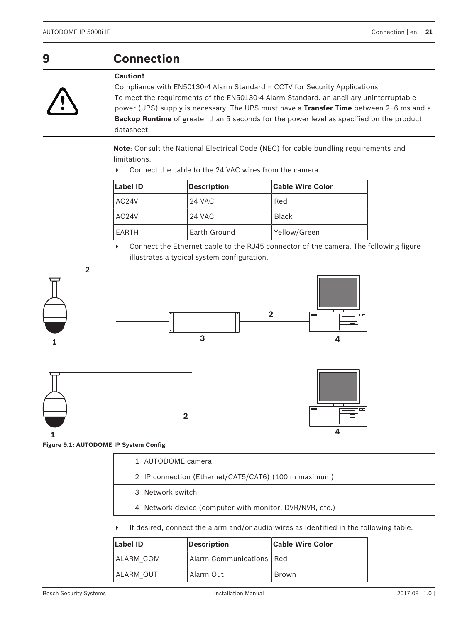## **9 Connection**

#### **Caution!**

**!** 

Compliance with EN50130-4 Alarm Standard – CCTV for Security Applications To meet the requirements of the EN50130-4 Alarm Standard, an ancillary uninterruptable power (UPS) supply is necessary. The UPS must have a **Transfer Time** between 2–6 ms and a **Backup Runtime** of greater than 5 seconds for the power level as specified on the product datasheet.

**Note**: Consult the National Electrical Code (NEC) for cable bundling requirements and limitations.

▶ Connect the cable to the 24 VAC wires from the camera.

| Label ID<br><b>Description</b> |  | <b>Cable Wire Color</b> |
|--------------------------------|--|-------------------------|
| AC <sub>24</sub> V<br>24 VAC   |  | Red                     |
| AC <sub>24</sub> V<br>24 VAC   |  | <b>Black</b>            |
| Earth Ground<br>EARTH          |  | Yellow/Green            |

▶ Connect the Ethernet cable to the RJ45 connector of the camera. The following figure illustrates a typical system configuration.



|  | 1   AUTODOME camera                                     |
|--|---------------------------------------------------------|
|  | 2 IP connection (Ethernet/CAT5/CAT6) (100 m maximum)    |
|  | 3 Network switch                                        |
|  | 4 Network device (computer with monitor, DVR/NVR, etc.) |

 $\blacktriangleright$  If desired, connect the alarm and/or audio wires as identified in the following table.

| Label ID                                | <b>Description</b> | <b>Cable Wire Color</b> |  |
|-----------------------------------------|--------------------|-------------------------|--|
| Alarm Communications   Red<br>ALARM COM |                    |                         |  |
| I ALARM OUT                             | Alarm Out          | Brown                   |  |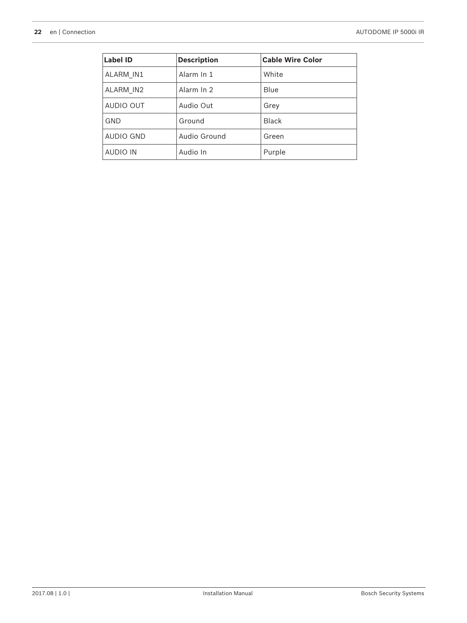| Label ID         | <b>Description</b> | <b>Cable Wire Color</b> |
|------------------|--------------------|-------------------------|
| ALARM IN1        | Alarm In 1         | White                   |
| ALARM_IN2        | Alarm In 2         | Blue                    |
| <b>AUDIO OUT</b> | Audio Out          | Grey                    |
| <b>GND</b>       | Ground             | <b>Black</b>            |
| AUDIO GND        | Audio Ground       | Green                   |
| <b>AUDIO IN</b>  | Audio In           | Purple                  |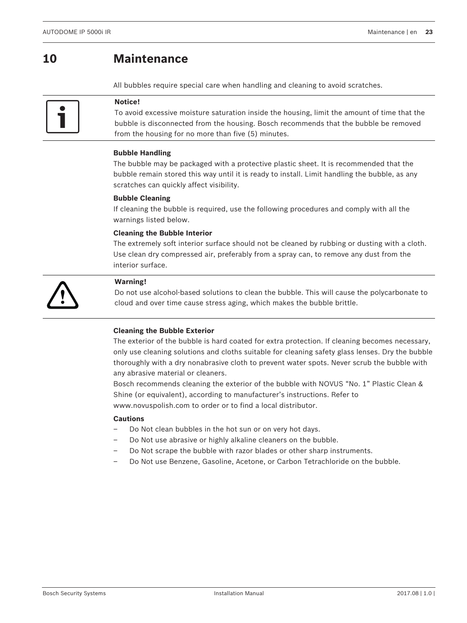## **10 Maintenance**

All bubbles require special care when handling and cleaning to avoid scratches.



#### **Notice!**

To avoid excessive moisture saturation inside the housing, limit the amount of time that the bubble is disconnected from the housing. Bosch recommends that the bubble be removed from the housing for no more than five (5) minutes.

#### **Bubble Handling**

The bubble may be packaged with a protective plastic sheet. It is recommended that the bubble remain stored this way until it is ready to install. Limit handling the bubble, as any scratches can quickly affect visibility.

#### **Bubble Cleaning**

If cleaning the bubble is required, use the following procedures and comply with all the warnings listed below.

#### **Cleaning the Bubble Interior**

The extremely soft interior surface should not be cleaned by rubbing or dusting with a cloth. Use clean dry compressed air, preferably from a spray can, to remove any dust from the interior surface.



#### **Warning!**

Do not use alcohol-based solutions to clean the bubble. This will cause the polycarbonate to cloud and over time cause stress aging, which makes the bubble brittle.

## **Cleaning the Bubble Exterior**

The exterior of the bubble is hard coated for extra protection. If cleaning becomes necessary, only use cleaning solutions and cloths suitable for cleaning safety glass lenses. Dry the bubble thoroughly with a dry nonabrasive cloth to prevent water spots. Never scrub the bubble with any abrasive material or cleaners.

Bosch recommends cleaning the exterior of the bubble with NOVUS "No. 1" Plastic Clean & Shine (or equivalent), according to manufacturer's instructions. Refer to [www.novuspolish.com](http://www.novispolish.com) to order or to find a local distributor.

#### **Cautions**

- Do Not clean bubbles in the hot sun or on very hot days.
- Do Not use abrasive or highly alkaline cleaners on the bubble.
- Do Not scrape the bubble with razor blades or other sharp instruments.
- Do Not use Benzene, Gasoline, Acetone, or Carbon Tetrachloride on the bubble.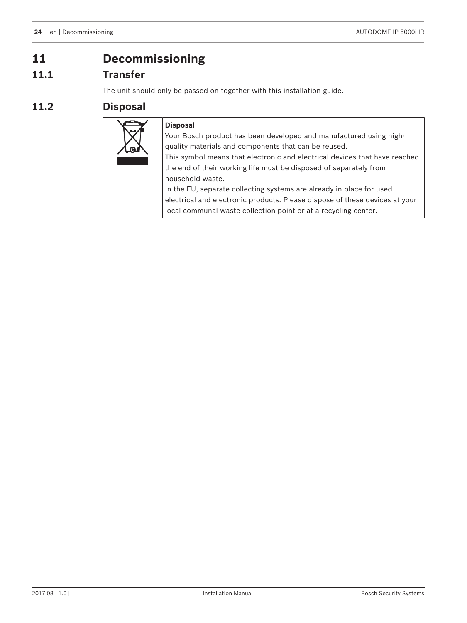## **11 Decommissioning**

## **11.1 Transfer**

The unit should only be passed on together with this installation guide.

## **11.2 Disposal**

| <b>Disposal</b>                                                             |
|-----------------------------------------------------------------------------|
| Your Bosch product has been developed and manufactured using high-          |
| quality materials and components that can be reused.                        |
| This symbol means that electronic and electrical devices that have reached  |
| the end of their working life must be disposed of separately from           |
| household waste.                                                            |
| In the EU, separate collecting systems are already in place for used        |
| electrical and electronic products. Please dispose of these devices at your |
| local communal waste collection point or at a recycling center.             |